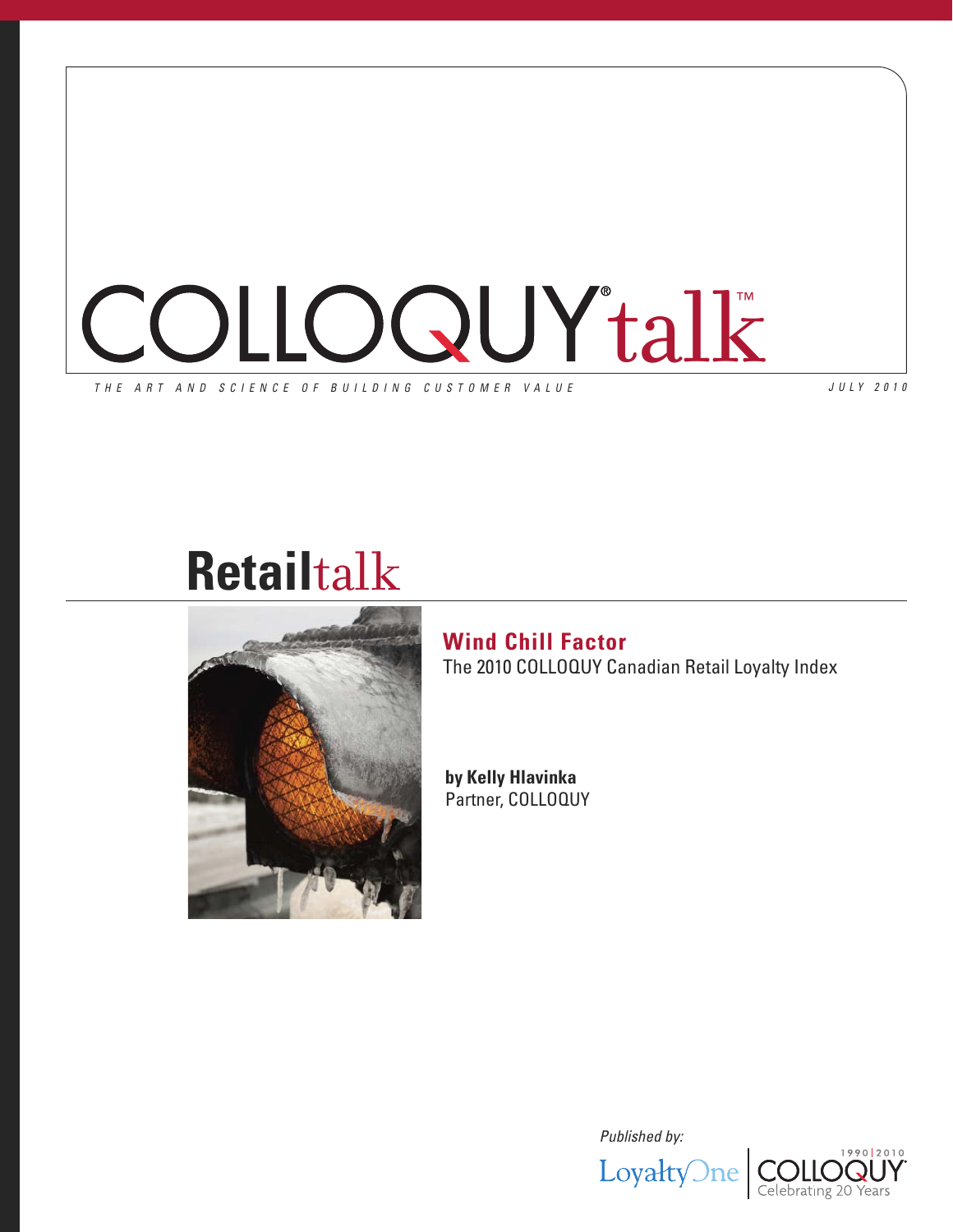

*J U L Y 2 0 1 0*

# **Retail**talk



## **Wind Chill Factor** The 2010 COLLOQUY Canadian Retail Loyalty Index

**by Kelly Hlavinka** Partner, COLLOQUY

*Published by:*



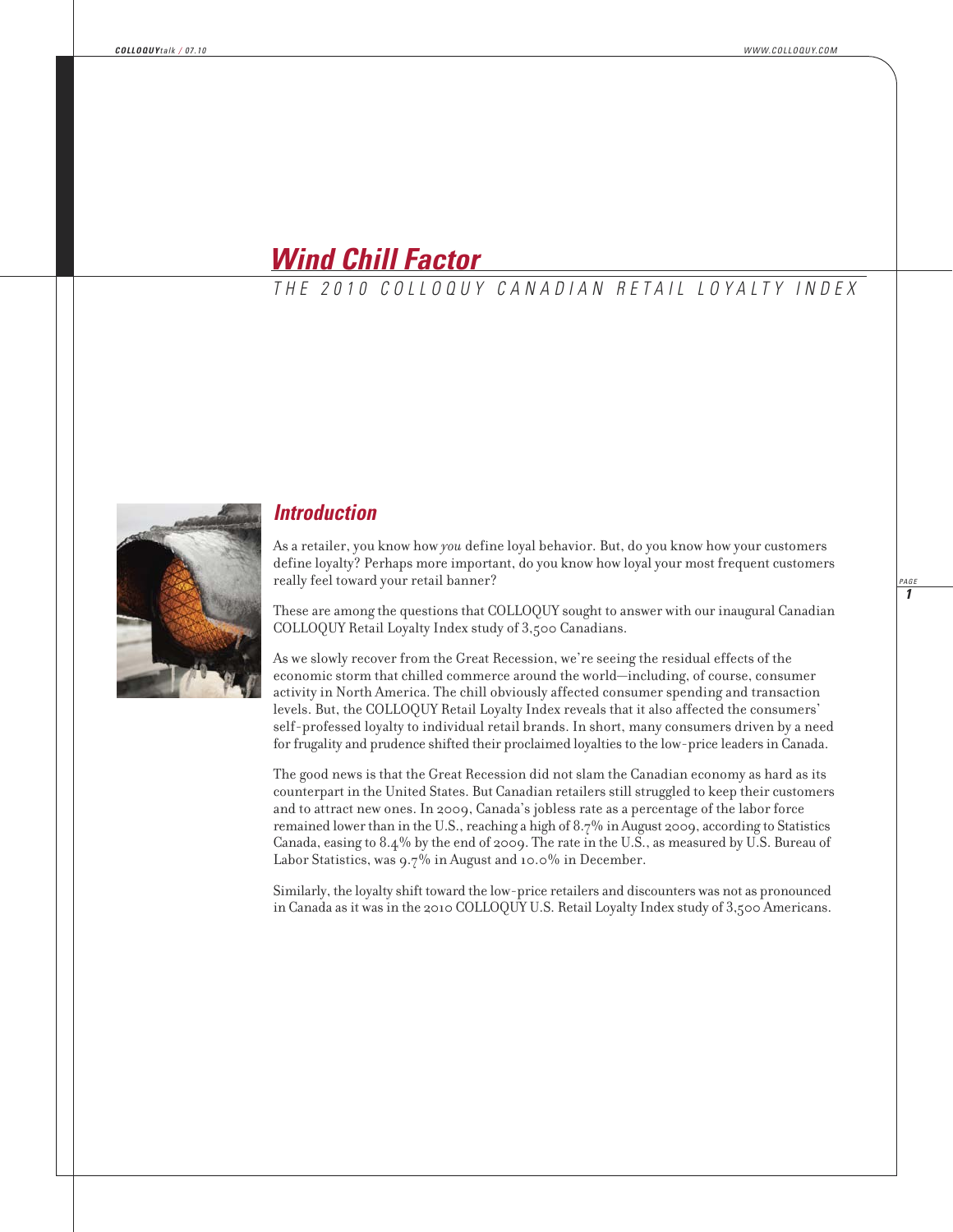## *Wind Chill Factor*

*T H E 2 0 1 0 C O L L O Q U Y C A N A D I A N R E T A I L L O Y A L T Y I N D E X*



### *Introduction*

As a retailer, you know how *you* define loyal behavior. But, do you know how your customers define loyalty? Perhaps more important, do you know how loyal your most frequent customers really feel toward your retail banner?

These are among the questions that COLLOQUY sought to answer with our inaugural Canadian COLLOQUY Retail Loyalty Index study of 3,500 Canadians.

As we slowly recover from the Great Recession, we're seeing the residual effects of the eco nomic storm that chilled commerce around the world—including, of course, consumer activity in North America. The chill obviously affected consumer spending and transaction levels. But, the COLLOQUY Retail Loyalty Index reveals that it also affected the consumers' self-professed loyalty to individual retail brands. In short, many consumers driven by a need for frugality and prudence shifted their proclaimed loyalties to the low-price leaders in Canada.

The good news is that the Great Recession did not slam the Canadian economy as hard as its counterpart in the United States. But Canadian retailers still struggled to keep their customers and to attract new ones. In 2009, Canada's jobless rate as a percentage of the labor force remained lower than in the U.S., reaching a high of 8.7% in August 2009, according to Statistics Canada, easing to 8.4% by the end of 2009. The rate in the U.S., as measured by U.S. Bureau of Labor Statistics, was 9.7% in August and 10.0% in December.

Similarly, the loyalty shift toward the low-price retailers and discounters was not as pronounced in Canada as it was in the 2010 COLLOQUY U.S. Retail Loyalty Index study of 3,500 Americans.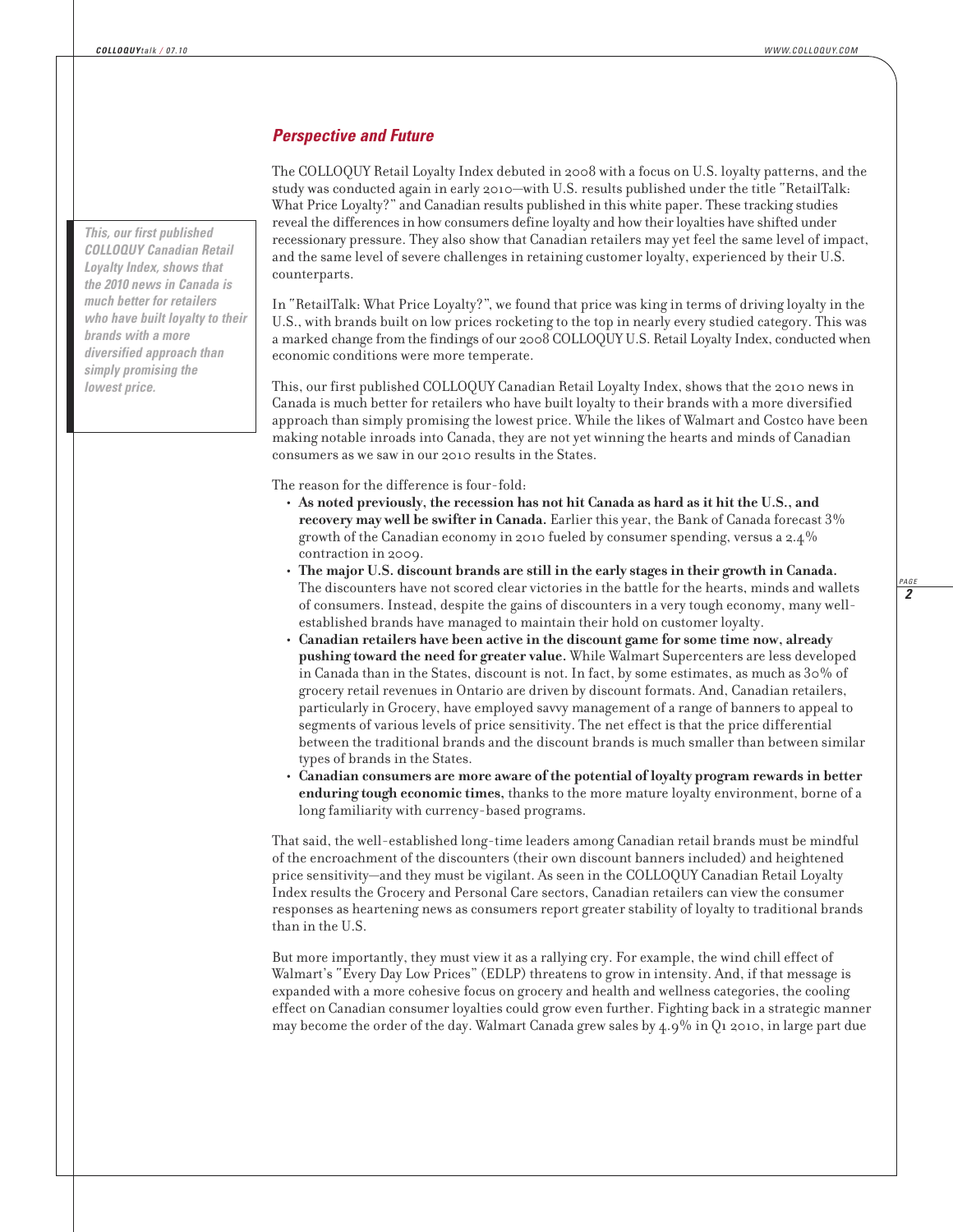#### *Perspective and Future*

The COLLOQUY Retail Loyalty Index debuted in 2008 with a focus on U.S. loyalty patterns, and the study was conducted again in early 2010—with U.S. results published under the title "RetailTalk: What Price Loyalty?" and Canadian results published in this white paper. These tracking studies reveal the differences in how consumers define loyalty and how their loyalties have shifted under recessionary pressure. They also show that Canadian retailers may yet feel the same level of impact, and the same level of severe challenges in retaining customer loyalty, experienced by their U.S. counterparts.

In "RetailTalk: What Price Loyalty?", we found that price was king in terms of driving loyalty in the U.S., with brands built on low prices rocketing to the top in nearly every studied category. This was a marked change from the findings of our 2008 COLLOQUY U.S. Retail Loyalty Index, conducted when economic conditions were more temperate.

This, our first published COLLOQUY Canadian Retail Loyalty Index, shows that the 2010 news in Canada is much better for retailers who have built loyalty to their brands with a more diversified approach than simply promising the lowest price. While the likes of Walmart and Costco have been making notable inroads into Canada, they are not yet winning the hearts and minds of Canadian consumers as we saw in our 2010 results in the States.

The reason for the difference is four-fold:

- **As noted previously, the recession has not hit Canada as hard as it hit the U.S., and recovery may well be swifter in Canada.** Earlier this year, the Bank of Canada forecast 3% growth of the Canadian economy in 2010 fueled by consumer spending, versus a 2.4% contraction in 2009.
- **The major U.S. discount brands are still in the early stages in their growth in Canada.** The discounters have not scored clear victories in the battle for the hearts, minds and wallets of consumers. Instead, despite the gains of discounters in a very tough economy, many wellestablished brands have managed to maintain their hold on customer loyalty.
- **Canadian retailers have been active in the discount game for some time now, already pushing toward the need for greater value.** While Walmart Supercenters are less developed in Canada than in the States, discount is not. In fact, by some estimates, as much as  $30\%$  of grocery retail revenues in Ontario are driven by discount formats. And, Canadian retailers, particularly in Grocery, have employed savvy management of a range of banners to appeal to segments of various levels of price sensitivity. The net effect is that the price differential between the traditional brands and the discount brands is much smaller than between similar types of brands in the States.
- **Canadian consumers are more aware of the potential of loyalty program rewards in better enduring tough economic times,** thanks to the more mature loyalty environment, borne of a long familiarity with currency-based programs.

That said, the well-established long-time leaders among Canadian retail brands must be mindful of the encroachment of the discounters (their own discount banners included) and heightened price sensitivity—and they must be vigilant. As seen in the COLLOQUY Canadian Retail Loyalty Index results the Grocery and Personal Care sectors, Canadian retailers can view the consumer responses as heartening news as consumers report greater stability of loyalty to traditional brands than in the U.S.

But more importantly, they must view it as a rallying cry. For example, the wind chill effect of Walmart's "Every Day Low Prices" (EDLP) threatens to grow in intensity. And, if that message is expanded with a more cohesive focus on grocery and health and wellness categories, the cooling effect on Canadian consumer loyalties could grow even further. Fighting back in a strategic manner may become the order of the day. Walmart Canada grew sales by 4.9% in Q1 2010, in large part due

*This, our first published COLLOQUY Canadian Retail Loyalty Index, shows that the 2010 news in Canada is much better for retailers who have built loyalty to their brands with a more diversified approach than simply promising the lowest price.*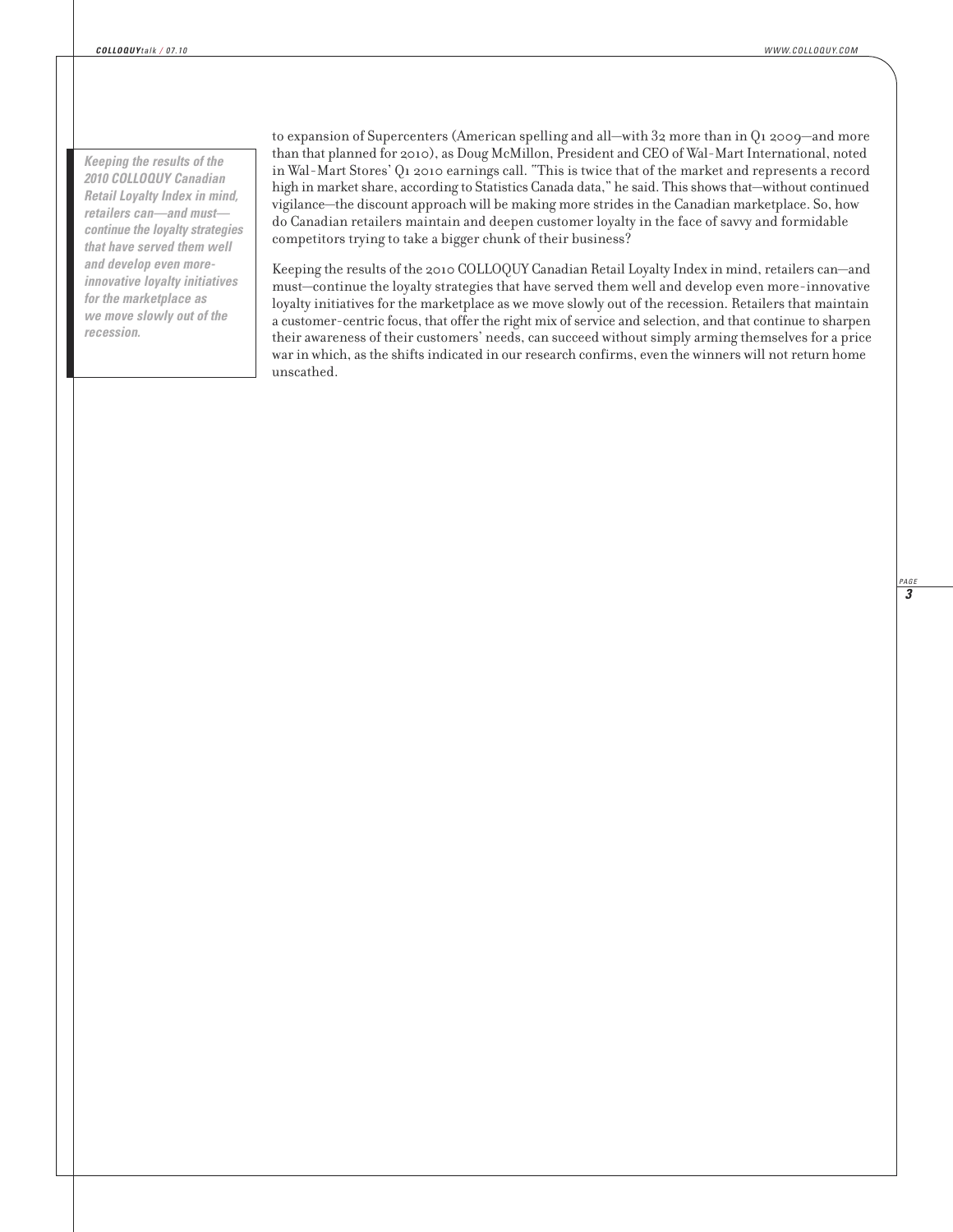*Keeping the results of the 2010 COLLOQUY Canadian Retail Loyalty Index in mind, retailers can—and must continue the loyalty strategies that have served them well and develop even moreinnovative loyalty initiatives for the marketplace as we move slowly out of the recession.*

to expansion of Supercenters (American spelling and all—with 32 more than in Q1 2009—and more than that planned for 2010), as Doug McMillon, President and CEO of Wal-Mart International, noted in Wal-Mart Stores' Q1 2010 earnings call. "This is twice that of the market and represents a record high in market share, according to Statistics Canada data," he said. This shows that—without continued vigilance—the discount approach will be making more strides in the Canadian marketplace. So, how do Canadian retailers maintain and deepen customer loyalty in the face of savvy and formidable competitors trying to take a bigger chunk of their business?

Keeping the results of the 2010 COLLOQUY Canadian Retail Loyalty Index in mind, retailers can—and must—continue the loyalty strategies that have served them well and develop even more-innovative loyalty initiatives for the marketplace as we move slowly out of the recession. Retailers that maintain a customer-centric focus, that offer the right mix of service and selection, and that continue to sharpen their awareness of their customers' needs, can succeed without simply arming themselves for a price war in which, as the shifts indicated in our research confirms, even the winners will not return home unscathed.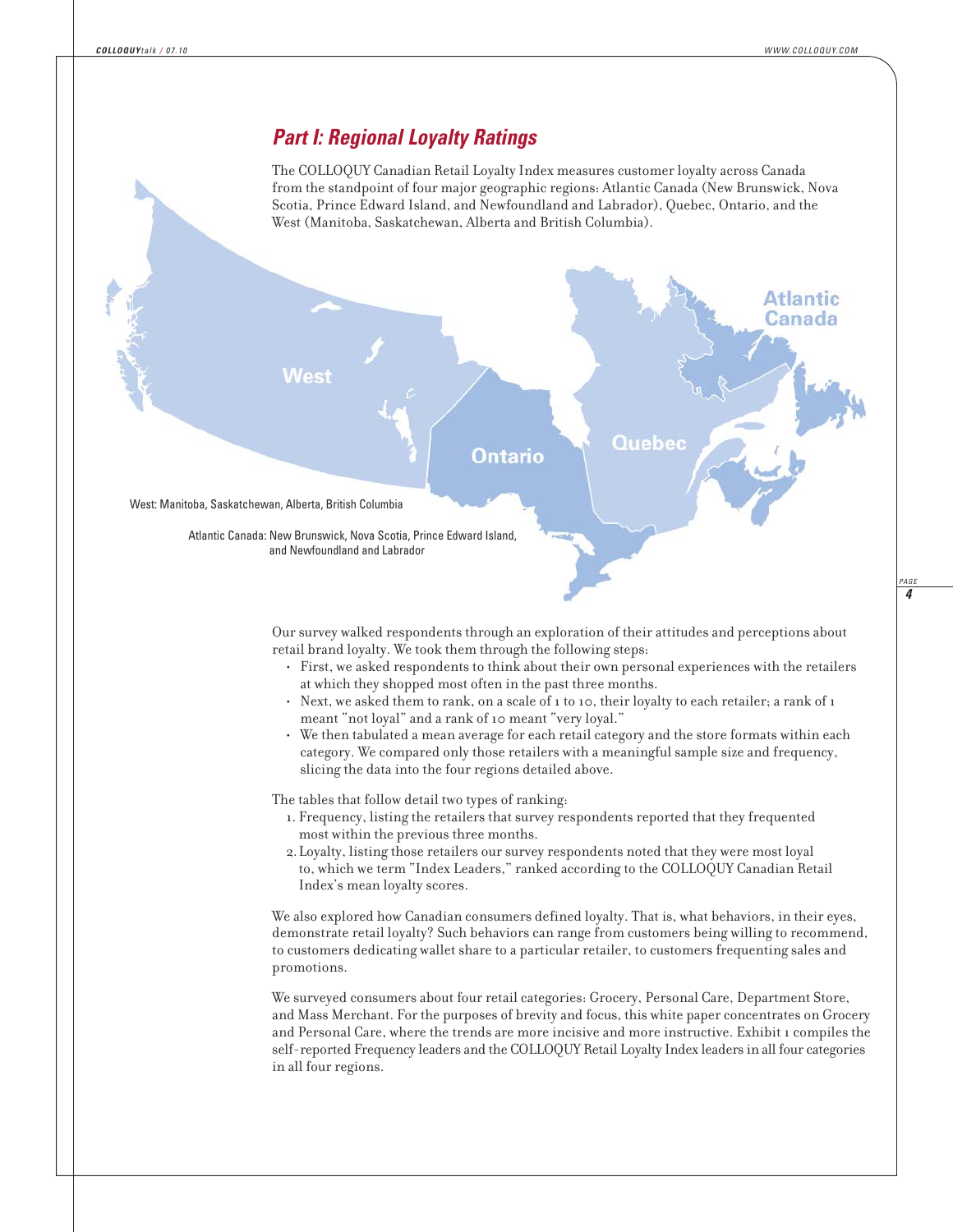## *Part I: Regional Loyalty Ratings*

The COLLOQUY Canadian Retail Loyalty Index measures customer loyalty across Canada from the standpoint of four major geographic regions: Atlantic Canada (New Brunswick, Nova Scotia, Prince Edward Island, and Newfoundland and Labrador), Quebec, Ontario, and the West (Manitoba, Saskatchewan, Alberta and British Columbia).



Our survey walked respondents through an exploration of their attitudes and perceptions about retail brand loyalty. We took them through the following steps:

- First, we asked respondents to think about their own personal experiences with the retailers at which they shopped most often in the past three months.
- Next, we asked them to rank, on a scale of 1 to 10, their loyalty to each retailer; a rank of 1 meant "not loyal" and a rank of 10 meant "very loyal."
- We then tabulated a mean average for each retail category and the store formats within each category. We compared only those retailers with a meaningful sample size and frequency, slicing the data into the four regions detailed above.

The tables that follow detail two types of ranking:

- 1. Frequency, listing the retailers that survey respondents reported that they frequented most within the previous three months.
- 2.Loyalty, listing those retailers our survey respondents noted that they were most loyal to, which we term "Index Leaders," ranked according to the COLLOQUY Canadian Retail Index's mean loyalty scores.

We also explored how Canadian consumers defined loyalty. That is, what behaviors, in their eyes, demonstrate retail loyalty? Such behaviors can range from customers being willing to recommend, to customers dedicating wallet share to a particular retailer, to customers frequenting sales and promotions.

We surveyed consumers about four retail categories: Grocery, Personal Care, Department Store, and Mass Merchant. For the purposes of brevity and focus, this white paper concentrates on Grocery and Personal Care, where the trends are more incisive and more instructive. Exhibit 1 compiles the self-reported Frequency leaders and the COLLOQUY Retail Loyalty Index leaders in all four categories in all four regions.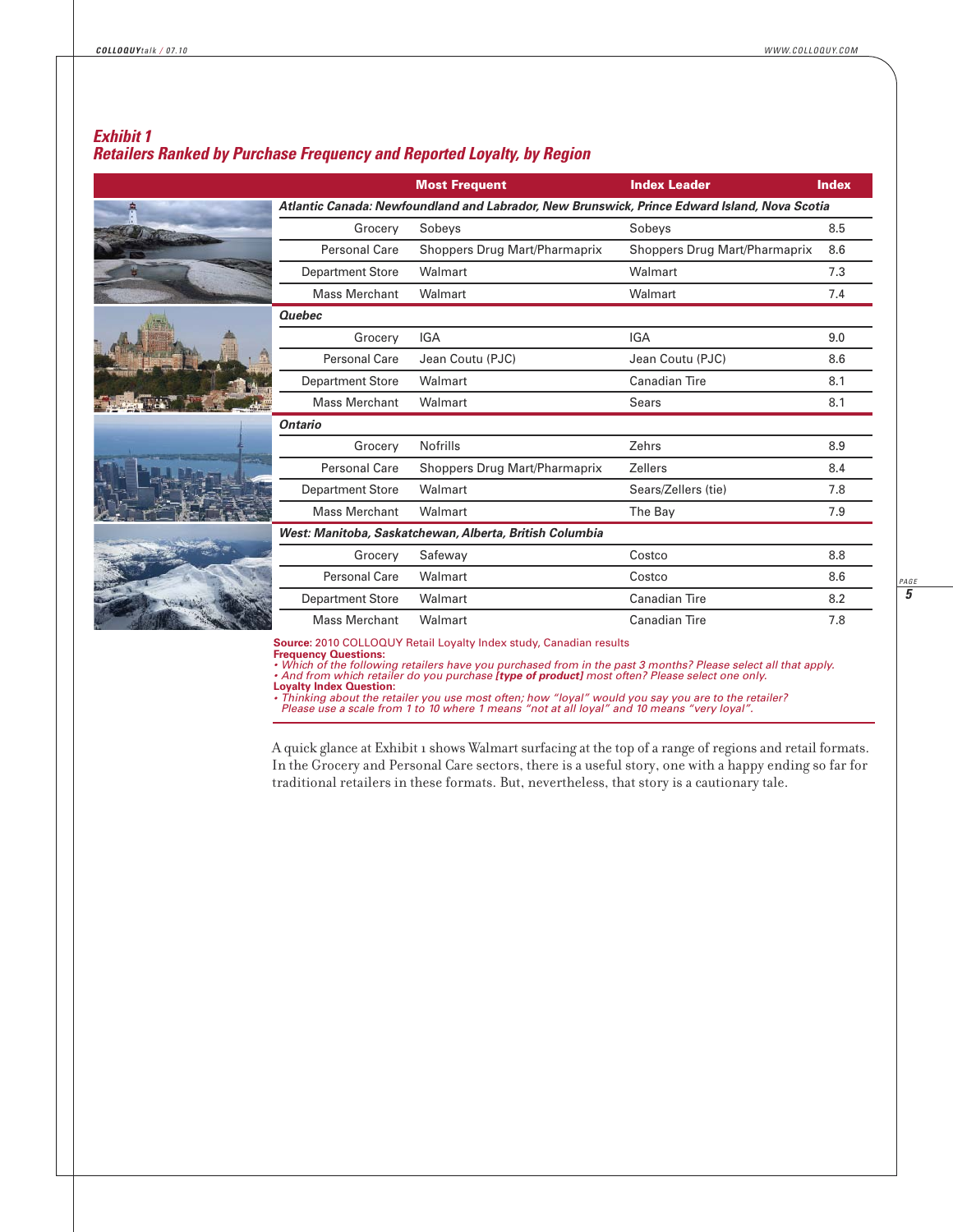## *Exhibit 1 Retailers Ranked by Purchase Frequency and Reported Loyalty, by Region*

|                                                                                              | <b>Most Frequent</b>          | <b>Index Leader</b>           | <b>Index</b> |  |  |  |
|----------------------------------------------------------------------------------------------|-------------------------------|-------------------------------|--------------|--|--|--|
| Atlantic Canada: Newfoundland and Labrador, New Brunswick, Prince Edward Island, Nova Scotia |                               |                               |              |  |  |  |
| Grocery                                                                                      | Sobeys                        | Sobeys                        | 8.5          |  |  |  |
| <b>Personal Care</b>                                                                         | Shoppers Drug Mart/Pharmaprix | Shoppers Drug Mart/Pharmaprix | 8.6          |  |  |  |
| <b>Department Store</b>                                                                      | Walmart                       | Walmart                       | 7.3          |  |  |  |
| <b>Mass Merchant</b>                                                                         | Walmart                       | Walmart                       | 7.4          |  |  |  |
| <b>Quebec</b>                                                                                |                               |                               |              |  |  |  |
| Grocery                                                                                      | <b>IGA</b>                    | <b>IGA</b>                    | 9.0          |  |  |  |
| Personal Care                                                                                | Jean Coutu (PJC)              | Jean Coutu (PJC)              | 8.6          |  |  |  |
| <b>Department Store</b>                                                                      | Walmart                       | <b>Canadian Tire</b>          | 8.1          |  |  |  |
| <b>Mass Merchant</b>                                                                         | Walmart                       | <b>Sears</b>                  | 8.1          |  |  |  |
| <b>Ontario</b>                                                                               |                               |                               |              |  |  |  |
| Grocery                                                                                      | <b>Nofrills</b>               | Zehrs                         | 8.9          |  |  |  |
| <b>Personal Care</b>                                                                         | Shoppers Drug Mart/Pharmaprix | <b>Zellers</b>                | 8.4          |  |  |  |
| <b>Department Store</b>                                                                      | Walmart                       | Sears/Zellers (tie)           | 7.8          |  |  |  |
| <b>Mass Merchant</b>                                                                         | Walmart                       | The Bay                       | 7.9          |  |  |  |
| West: Manitoba, Saskatchewan, Alberta, British Columbia                                      |                               |                               |              |  |  |  |
| Grocery                                                                                      | Safeway                       | Costco                        | 8.8          |  |  |  |
| Personal Care                                                                                | Walmart                       | Costco                        | 8.6          |  |  |  |
| <b>Department Store</b>                                                                      | Walmart                       | Canadian Tire                 | 8.2          |  |  |  |
| <b>Mass Merchant</b>                                                                         | Walmart                       | <b>Canadian Tire</b>          | 7.8          |  |  |  |

• Which of the following retailers have you purchased from in the past 3 months? Please select all that apply.<br>• And from which retailer do you purchase **[type of product]** most often? Please select one only.<br>• Thinking ab

A quick glance at Exhibit 1 shows Walmart surfacing at the top of a range of regions and retail formats. In the Grocery and Personal Care sectors, there is a useful story, one with a happy ending so far for traditional retailers in these formats. But, nevertheless, that story is a cautionary tale.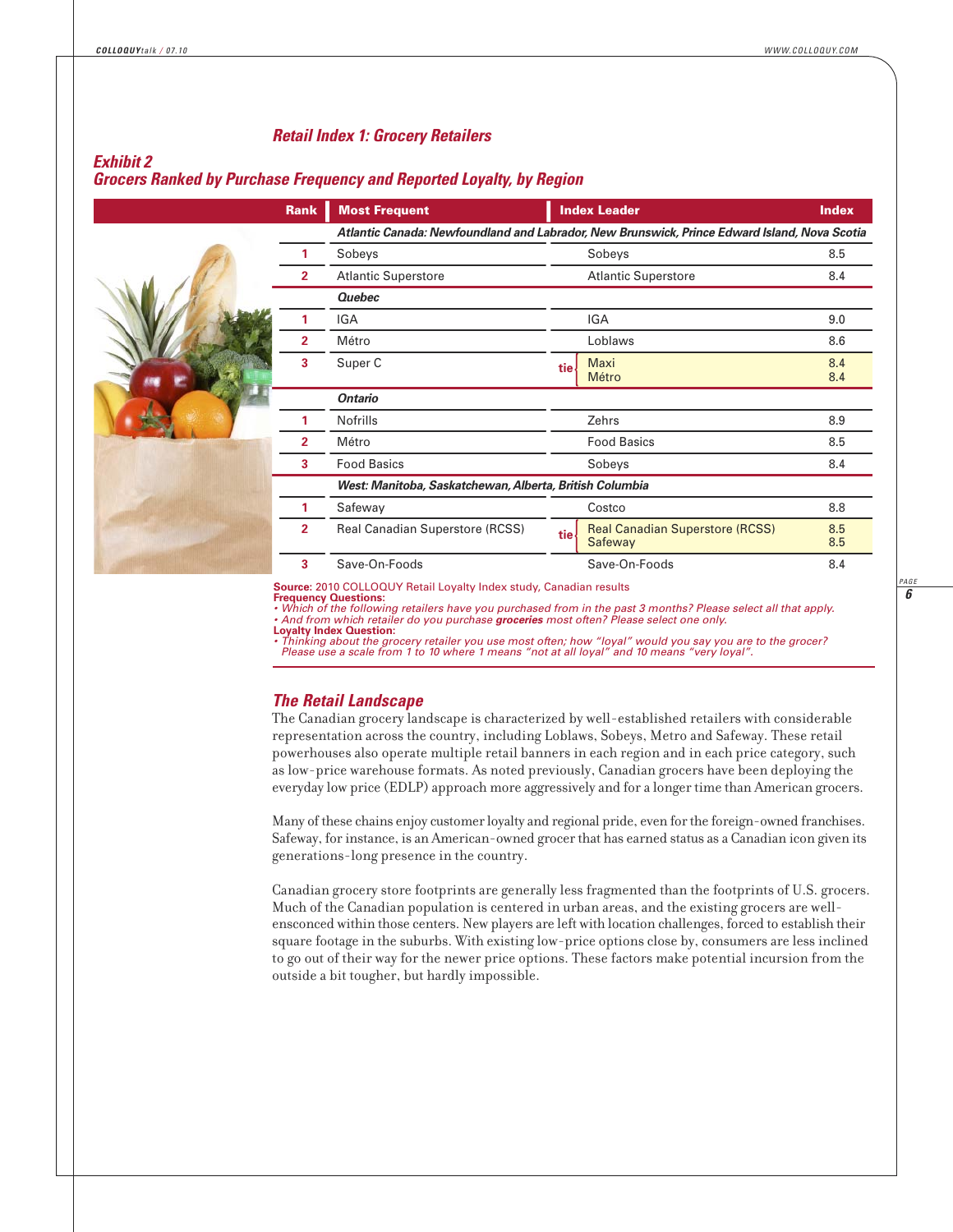#### *Retail Index 1: Grocery Retailers*

#### *Exhibit 2*

#### *Grocers Ranked by Purchase Frequency and Reported Loyalty, by Region*

|  | <b>Rank</b>    | <b>Most Frequent</b>                                                                         |       | <b>Index Leader</b>                               | <b>Index</b> |  |
|--|----------------|----------------------------------------------------------------------------------------------|-------|---------------------------------------------------|--------------|--|
|  |                | Atlantic Canada: Newfoundland and Labrador, New Brunswick, Prince Edward Island, Nova Scotia |       |                                                   |              |  |
|  |                | Sobeys                                                                                       |       | Sobeys                                            | 8.5          |  |
|  | $\overline{2}$ | <b>Atlantic Superstore</b>                                                                   |       | <b>Atlantic Superstore</b>                        | 8.4          |  |
|  |                | <b>Quebec</b>                                                                                |       |                                                   |              |  |
|  |                | <b>IGA</b>                                                                                   |       | <b>IGA</b>                                        | 9.0          |  |
|  | $\overline{2}$ | Métro                                                                                        |       | Loblaws                                           | 8.6          |  |
|  | 3              | Super C                                                                                      | tiel  | Maxi<br>Métro                                     | 8.4<br>8.4   |  |
|  |                | <b>Ontario</b>                                                                               |       |                                                   |              |  |
|  |                | <b>Nofrills</b>                                                                              |       | Zehrs                                             | 8.9          |  |
|  | $\overline{2}$ | Métro                                                                                        |       | <b>Food Basics</b>                                | 8.5          |  |
|  |                | <b>Food Basics</b>                                                                           |       | Sobeys                                            | 8.4          |  |
|  |                | West: Manitoba, Saskatchewan, Alberta, British Columbia                                      |       |                                                   |              |  |
|  |                | Safeway                                                                                      |       | Costco                                            | 8.8          |  |
|  | $\overline{2}$ | Real Canadian Superstore (RCSS)                                                              | tie l | <b>Real Canadian Superstore (RCSS)</b><br>Safeway | 8.5<br>8.5   |  |
|  | 3              | Save-On-Foods                                                                                |       | Save-On-Foods                                     | 8.4          |  |

**Source:** 2010 COLLOQUY Retail Loyalty Index study, Canadian results

**Frequency Questions:**

• Which of the following retailers have you purchased from in the past 3 months? Please select all that apply.<br>• And from which retailer do you purchase **groceries** most often? Please select one only. **Loyalty Index Question:**

*• Thinking about the grocery retailer you use most often; how "loyal" would you say you are to the grocer? Please use a scale from 1 to 10 where 1 means "not at all loyal" and 10 means "very loyal".*

#### *The Retail Landscape*

The Canadian grocery landscape is characterized by well-established retailers with considerable representation across the country, including Loblaws, Sobeys, Metro and Safeway. These retail powerhouses also operate multiple retail banners in each region and in each price category, such as low-price warehouse formats. As noted previously, Canadian grocers have been deploying the everyday low price (EDLP) approach more aggressively and for a longer time than American grocers.

Many of these chains enjoy customer loyalty and regional pride, even for the foreign-owned franchises. Safeway, for instance, is an American-owned grocer that has earned status as a Canadian icon given its generations-long presence in the country.

Canadian grocery store footprints are generally less fragmented than the footprints of U.S. grocers. Much of the Canadian population is centered in urban areas, and the existing grocers are wellensconced within those centers. New players are left with location challenges, forced to establish their square footage in the suburbs. With existing low-price options close by, consumers are less inclined to go out of their way for the newer price options. These factors make potential incursion from the outside a bit tougher, but hardly impossible.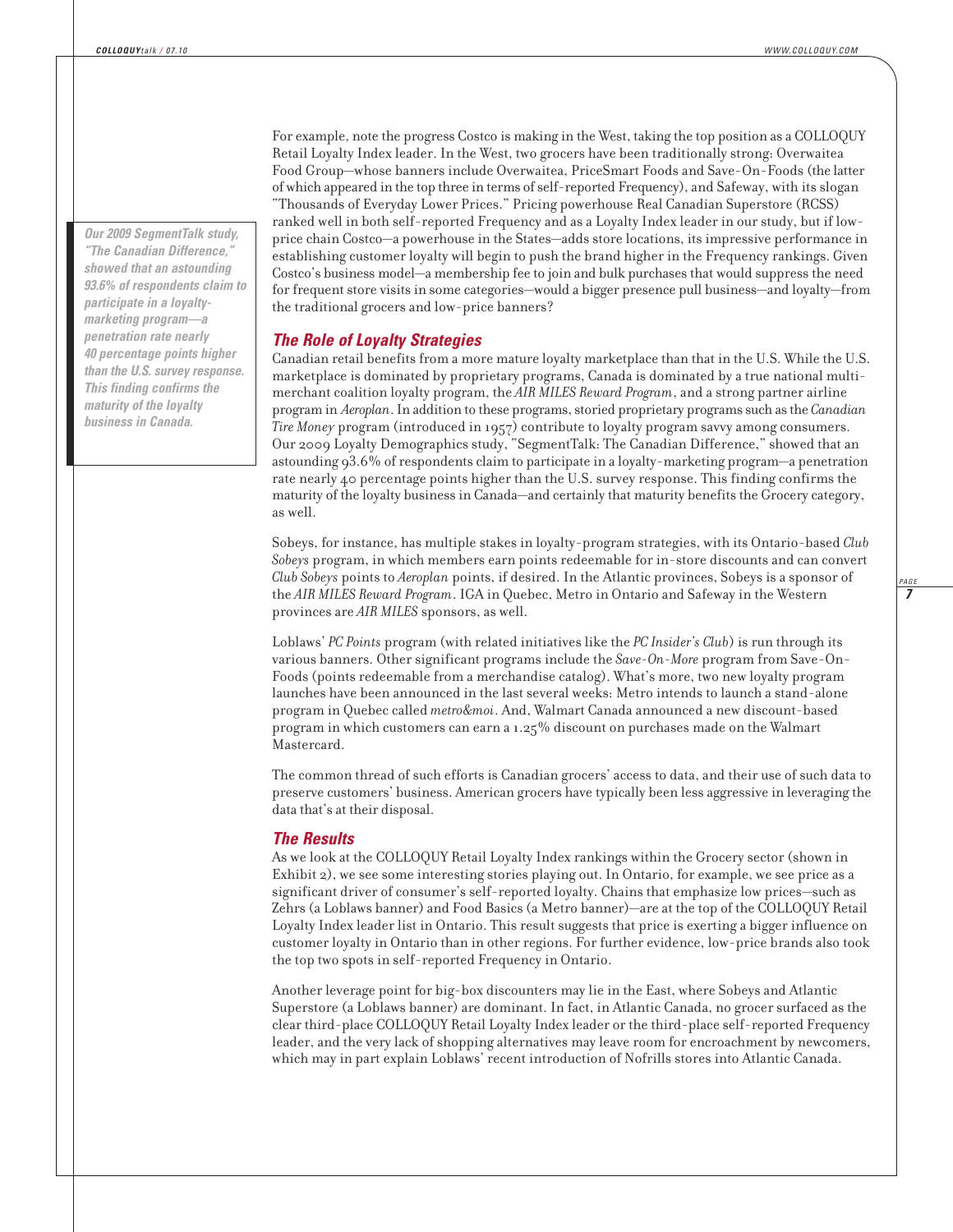*Our 2009 SegmentTalk study, "The Canadian Difference," showed that an astounding 93.6% of respondents claim to participate in a loyaltymarketing program—a penetration rate nearly 40 percentage points higher than the U.S. survey response. This finding confirms the maturity of the loyalty business in Canada.*

For example, note the progress Costco is making in the West, taking the top position as a COLLOQUY Retail Loyalty Index leader. In the West, two grocers have been traditionally strong: Overwaitea Food Group—whose banners include Overwaitea, PriceSmart Foods and Save-On-Foods (the latter of which appeared in the top three in terms of self-reported Frequency), and Safeway, with its slogan "Thousands of Everyday Lower Prices." Pricing powerhouse Real Canadian Superstore (RCSS) ranked well in both self-reported Frequency and as a Loyalty Index leader in our study, but if lowprice chain Costco—a powerhouse in the States—adds store locations, its impressive performance in establishing customer loyalty will begin to push the brand higher in the Frequency rankings. Given Costco's business model—a membership fee to join and bulk purchases that would suppress the need for frequent store visits in some categories—would a bigger presence pull business—and loyalty—from the traditional grocers and low-price banners?

#### *The Role of Loyalty Strategies*

Canadian retail benefits from a more mature loyalty marketplace than that in the U.S. While the U.S. marketplace is dominated by proprietary programs, Canada is dominated by a true national multimerchant coalition loyalty program, the *AIR MILES Reward Program*, and a strong partner airline program in *Aeroplan*. In addition to these programs, storied proprietary programs such as the *Canadian Tire Money* program (introduced in 1957) contribute to loyalty program savvy among consumers. Our 2009 Loyalty Demographics study, "SegmentTalk: The Canadian Difference," showed that an astounding 93.6% of respondents claim to participate in a loyalty-marketing program—a penetration rate nearly 40 percentage points higher than the U.S. survey response. This finding confirms the maturity of the loyalty business in Canada—and certainly that maturity benefits the Grocery category, as well.

Sobeys, for instance, has multiple stakes in loyalty-program strategies, with its Ontario-based *Club Sobeys* program, in which members earn points redeemable for in-store discounts and can convert *Club Sobeys* points to *Aeroplan* points, if desired. In the Atlantic provinces, Sobeys is a sponsor of the *AIR MILES Reward Program*. IGA in Quebec, Metro in Ontario and Safeway in the Western provinces are *AIR MILES* sponsors, as well.

Loblaws' *PC Points* program (with related initiatives like the *PC Insider's Club*) is run through its various banners. Other significant programs include the *Save-On-More* program from Save-On-Foods (points redeemable from a merchandise catalog). What's more, two new loyalty program launches have been announced in the last several weeks: Metro intends to launch a stand-alone program in Quebec called *metro&moi*. And, Walmart Canada announced a new discount-based program in which customers can earn a 1.25% discount on purchases made on the Walmart Mastercard.

The common thread of such efforts is Canadian grocers' access to data, and their use of such data to preserve customers' business. American grocers have typically been less aggressive in leveraging the data that's at their disposal.

#### *The Results*

As we look at the COLLOQUY Retail Loyalty Index rankings within the Grocery sector (shown in Exhibit 2), we see some interesting stories playing out. In Ontario, for example, we see price as a significant driver of consumer's self-reported loyalty. Chains that emphasize low prices—such as Zehrs (a Loblaws banner) and Food Basics (a Metro banner)—are at the top of the COLLOQUY Retail Loyalty Index leader list in Ontario. This result suggests that price is exerting a bigger influence on customer loyalty in Ontario than in other regions. For further evidence, low-price brands also took the top two spots in self-reported Frequency in Ontario.

Another leverage point for big-box discounters may lie in the East, where Sobeys and Atlantic Superstore (a Loblaws banner) are dominant. In fact, in Atlantic Canada, no grocer surfaced as the clear third-place COLLOQUY Retail Loyalty Index leader or the third-place self-reported Frequency leader, and the very lack of shopping alternatives may leave room for encroachment by newcomers, which may in part explain Loblaws' recent introduction of Nofrills stores into Atlantic Canada.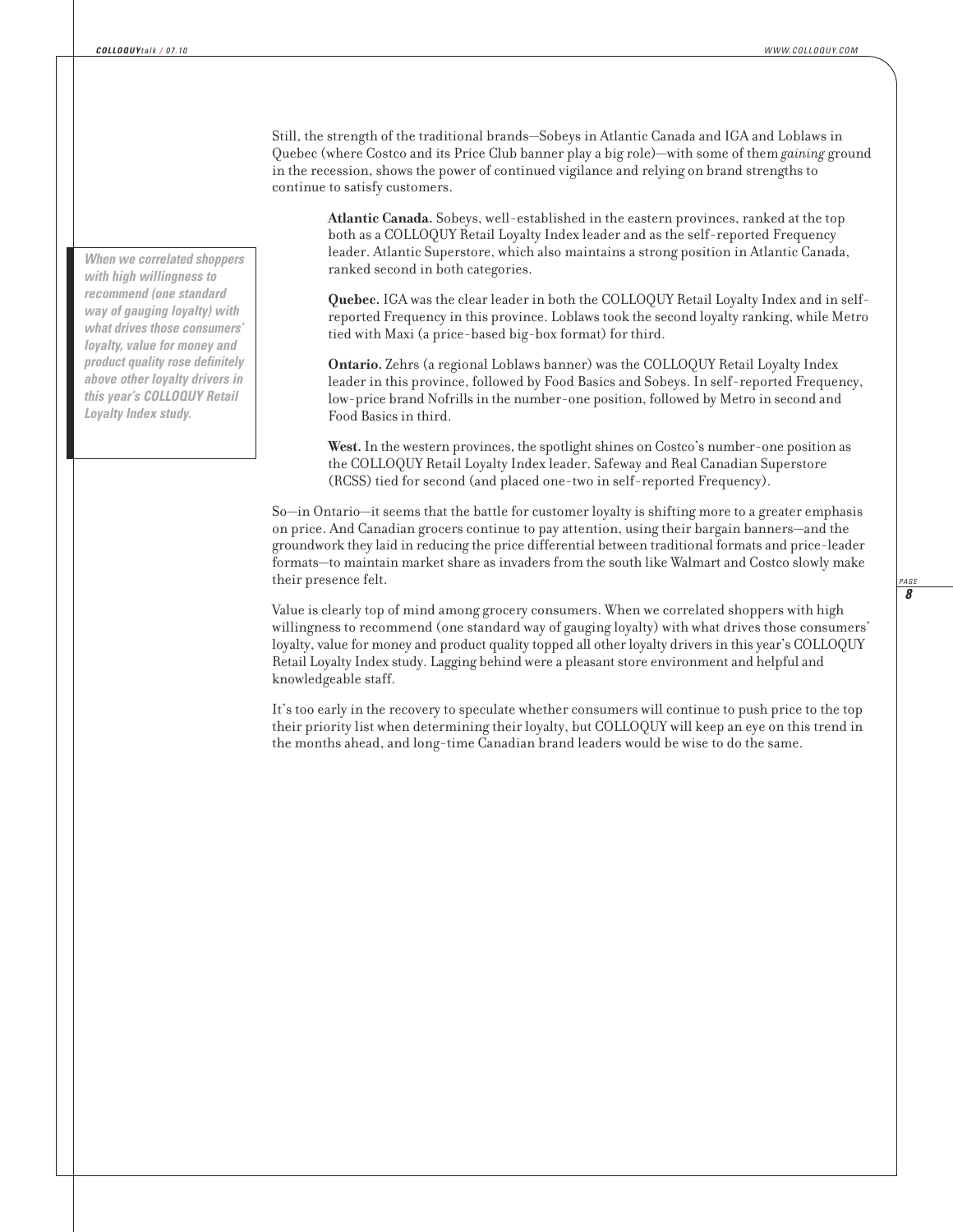Still, the strength of the traditional brands—Sobeys in Atlantic Canada and IGA and Loblaws in Quebec (where Costco and its Price Club banner play a big role)—with some of them *gaining* ground in the recession, shows the power of continued vigilance and relying on brand strengths to continue to satisfy customers.

**Atlantic Canada.** Sobeys, well-established in the eastern provinces, ranked at the top both as a COLLOQUY Retail Loyalty Index leader and as the self-reported Frequency leader. Atlantic Superstore, which also maintains a strong position in Atlantic Canada, ranked second in both categories.

**Quebec.** IGA was the clear leader in both the COLLOQUY Retail Loyalty Index and in selfreported Frequency in this province. Loblaws took the second loyalty ranking, while Metro tied with Maxi (a price-based big-box format) for third.

**Ontario.** Zehrs (a regional Loblaws banner) was the COLLOQUY Retail Loyalty Index leader in this province, followed by Food Basics and Sobeys. In self-reported Frequency, low-price brand Nofrills in the number-one position, followed by Metro in second and Food Basics in third.

**West.** In the western provinces, the spotlight shines on Costco's number-one position as the COLLOQUY Retail Loyalty Index leader. Safeway and Real Canadian Superstore (RCSS) tied for second (and placed one-two in self-reported Frequency).

So—in Ontario—it seems that the battle for customer loyalty is shifting more to a greater emphasis on price. And Canadian grocers continue to pay attention, using their bargain banners—and the groundwork they laid in reducing the price differential between traditional formats and price-leader formats—to maintain market share as invaders from the south like Walmart and Costco slowly make their presence felt.

Value is clearly top of mind among grocery consumers. When we correlated shoppers with high willingness to recommend (one standard way of gauging loyalty) with what drives those consumers' loyalty, value for money and product quality topped all other loyalty drivers in this year's COLLOQUY Retail Loyalty Index study. Lagging behind were a pleasant store environment and helpful and knowledgeable staff.

It's too early in the recovery to speculate whether consumers will continue to push price to the top their priority list when determining their loyalty, but COLLOQUY will keep an eye on this trend in the months ahead, and long-time Canadian brand leaders would be wise to do the same.

*When we correlated shoppers with high willingness to recommend (one standard way of gauging loyalty) with what drives those consumers' loyalty, value for money and product quality rose definitely above other loyalty drivers in this year's COLLOQUY Retail Loyalty Index study.*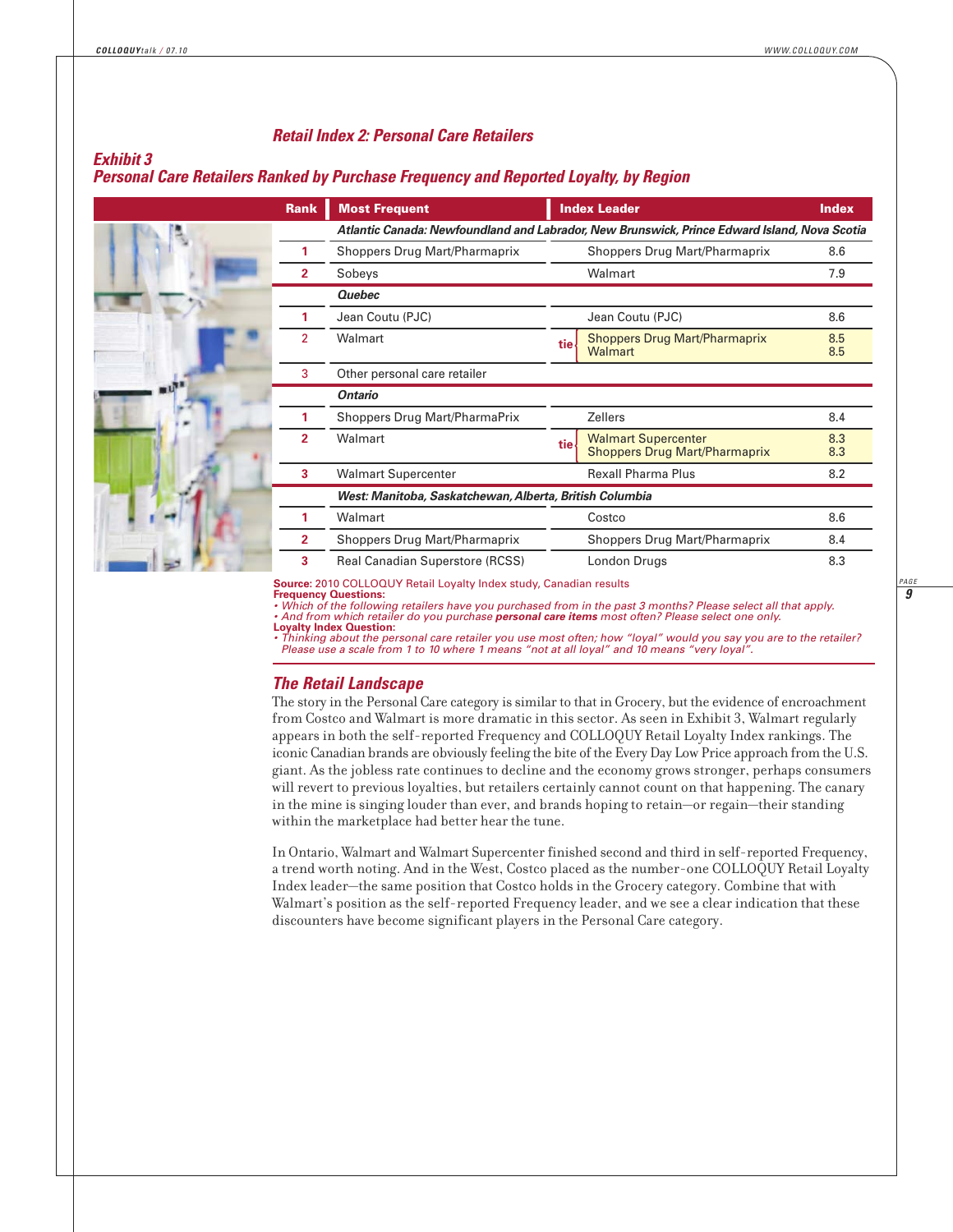#### *Retail Index 2: Personal Care Retailers*

#### *Exhibit 3*

#### *Personal Care Retailers Ranked by Purchase Frequency and Reported Loyalty, by Region*

| <b>Rank</b>    | <b>Most Frequent</b>                                                                         |                                      | <b>Index Leader</b>                                                | <b>Index</b> |  |  |  |
|----------------|----------------------------------------------------------------------------------------------|--------------------------------------|--------------------------------------------------------------------|--------------|--|--|--|
|                | Atlantic Canada: Newfoundland and Labrador, New Brunswick, Prince Edward Island, Nova Scotia |                                      |                                                                    |              |  |  |  |
| 1              | <b>Shoppers Drug Mart/Pharmaprix</b>                                                         | <b>Shoppers Drug Mart/Pharmaprix</b> |                                                                    |              |  |  |  |
| $\mathbf{2}$   | Sobeys                                                                                       |                                      | Walmart                                                            | 7.9          |  |  |  |
|                | <b>Quebec</b>                                                                                |                                      |                                                                    |              |  |  |  |
| 1              | Jean Coutu (PJC)                                                                             |                                      | Jean Coutu (PJC)                                                   | 8.6          |  |  |  |
| $\overline{2}$ | Walmart                                                                                      | tie-                                 | <b>Shoppers Drug Mart/Pharmaprix</b><br>Walmart                    | 8.5<br>8.5   |  |  |  |
| 3              | Other personal care retailer                                                                 |                                      |                                                                    |              |  |  |  |
|                | <b>Ontario</b>                                                                               |                                      |                                                                    |              |  |  |  |
| 1              | Shoppers Drug Mart/PharmaPrix                                                                | 8.4                                  |                                                                    |              |  |  |  |
| $\overline{2}$ | Walmart                                                                                      | tie.                                 | <b>Walmart Supercenter</b><br><b>Shoppers Drug Mart/Pharmaprix</b> | 8.3<br>8.3   |  |  |  |
| 3              | <b>Walmart Supercenter</b>                                                                   |                                      | <b>Rexall Pharma Plus</b>                                          | 8.2          |  |  |  |
|                | West: Manitoba, Saskatchewan, Alberta, British Columbia                                      |                                      |                                                                    |              |  |  |  |
|                | Walmart<br><b>Shoppers Drug Mart/Pharmaprix</b>                                              |                                      | Costco                                                             | 8.6          |  |  |  |
| 2              |                                                                                              |                                      | <b>Shoppers Drug Mart/Pharmaprix</b>                               | 8.4          |  |  |  |
| 3              | <b>Real Canadian Superstore (RCSS)</b><br>London Drugs                                       |                                      |                                                                    | 8.3          |  |  |  |

#### **Source:** 2010 COLLOQUY Retail Loyalty Index study, Canadian results **Frequency Questions:**

*• Which of the following retailers have you purchased from in the past 3 months? Please select all that apply. • And from which retailer do you purchase personal care items most often? Please select one only.*

**Loyalty Index Question:** *• Thinking about the personal care retailer you use most often; how "loyal" would you say you are to the retailer? Please use a scale from 1 to 10 where 1 means "not at all loyal" and 10 means "very loyal".*

#### *The Retail Landscape*

The story in the Personal Care category is similar to that in Grocery, but the evidence of encroachment from Costco and Walmart is more dramatic in this sector. As seen in Exhibit 3, Walmart regularly appears in both the self-reported Frequency and COLLOQUY Retail Loyalty Index rankings. The iconic Canadian brands are obviously feeling the bite of the Every Day Low Price approach from the U.S. giant. As the jobless rate continues to decline and the economy grows stronger, perhaps consumers will revert to previous loyalties, but retailers certainly cannot count on that happening. The canary in the mine is singing louder than ever, and brands hoping to retain—or regain—their standing within the marketplace had better hear the tune.

In Ontario, Walmart and Walmart Supercenter finished second and third in self-reported Frequency, a trend worth noting. And in the West, Costco placed as the number-one COLLOQUY Retail Loyalty Index leader—the same position that Costco holds in the Grocery category. Combine that with Walmart's position as the self-reported Frequency leader, and we see a clear indication that these discounters have become significant players in the Personal Care category.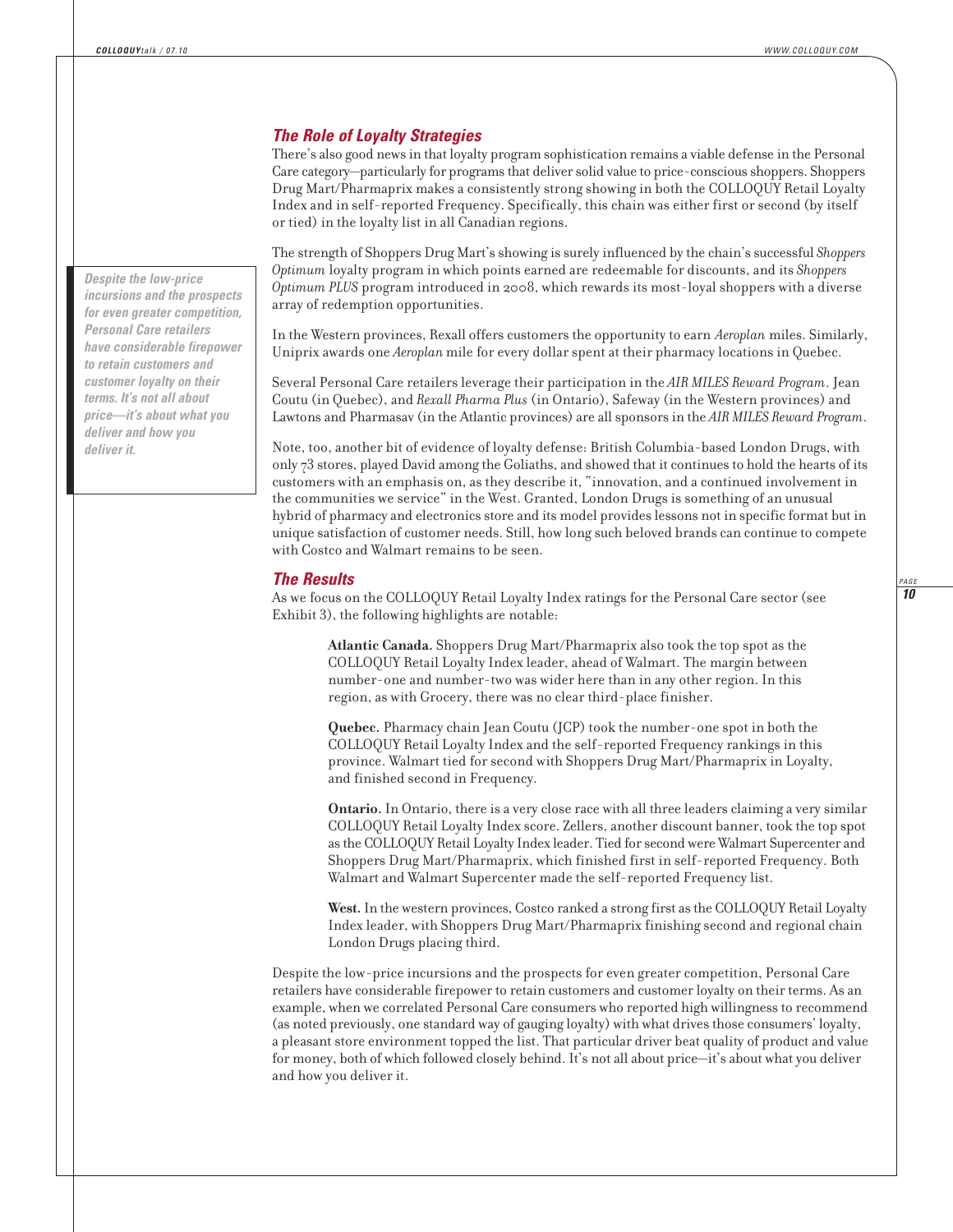#### *The Role of Loyalty Strategies*

There's also good news in that loyalty program sophistication remains a viable defense in the Personal Care category—particularly for programs that deliver solid value to price-conscious shoppers. Shoppers Drug Mart/Pharmaprix makes a consistently strong showing in both the COLLOQUY Retail Loyalty Index and in self-reported Frequency. Specifically, this chain was either first or second (by itself or tied) in the loyalty list in all Canadian regions.

The strength of Shoppers Drug Mart's showing is surely influenced by the chain's successful *Shoppers Optimum* loyalty program in which points earned are redeemable for discounts, and its *Shoppers Optimum PLUS* program introduced in 2008, which rewards its most-loyal shoppers with a diverse array of redemption opportunities.

In the Western provinces, Rexall offers customers the opportunity to earn *Aeroplan* miles. Similarly, Uniprix awards one *Aeroplan*mile for every dollar spent at their pharmacy locations in Quebec.

Several Personal Care retailers leverage their participation in the *AIR MILES Reward Program*. Jean Coutu (in Quebec), and *Rexall Pharma Plus* (in Ontario), Safeway (in the Western provinces) and Lawtons and Pharmasav (in the Atlantic provinces) are all sponsors in the *AIR MILES Reward Program*.

Note, too, another bit of evidence of loyalty defense: British Columbia-based London Drugs, with only 73 stores, played David among the Goliaths, and showed that it continues to hold the hearts of its customers with an emphasis on, as they describe it, "innovation, and a continued involvement in the communities we service" in the West. Granted, London Drugs is something of an unusual hybrid of pharmacy and electronics store and its model provides lessons not in specific format but in unique satisfaction of customer needs. Still, how long such beloved brands can continue to compete with Costco and Walmart remains to be seen.

#### *The Results*

As we focus on the COLLOQUY Retail Loyalty Index ratings for the Personal Care sector (see Exhibit 3), the following highlights are notable:

> **Atlantic Canada.** Shoppers Drug Mart/Pharmaprix also took the top spot as the COLLOQUY Retail Loyalty Index leader, ahead of Walmart. The margin between number-one and number-two was wider here than in any other region. In this region, as with Grocery, there was no clear third-place finisher.

**Quebec.** Pharmacy chain Jean Coutu (JCP) took the number-one spot in both the COLLOQUY Retail Loyalty Index and the self-reported Frequency rankings in this province. Walmart tied for second with Shoppers Drug Mart/Pharmaprix in Loyalty, and finished second in Frequency.

**Ontario.** In Ontario, there is a very close race with all three leaders claiming a very similar COLLOQUY Retail Loyalty Index score. Zellers, another discount banner, took the top spot as the COLLOQUY Retail Loyalty Index leader. Tied for second were Walmart Supercenter and Shoppers Drug Mart/Pharmaprix, which finished first in self-reported Frequency. Both Walmart and Walmart Supercenter made the self-reported Frequency list.

**West.**In the western provinces, Costco ranked a strong first as the COLLOQUY Retail Loyalty Index leader, with Shoppers Drug Mart/Pharmaprix finishing second and regional chain London Drugs placing third.

Despite the low-price incursions and the prospects for even greater competition, Personal Care retailers have considerable firepower to retain customers and customer loyalty on their terms. As an example, when we correlated Personal Care consumers who reported high willingness to recommend (as noted previously, one standard way of gauging loyalty) with what drives those consumers' loyalty, a pleasant store environment topped the list. That particular driver beat quality of product and value for money, both of which followed closely behind. It's not all about price—it's about what you deliver and how you deliver it.

*Despite the low-price incursions and the prospects for even greater competition, Personal Care retailers have considerable firepower to retain customers and customer loyalty on their terms. It's not all about price—it's about what you deliver and how you deliver it.*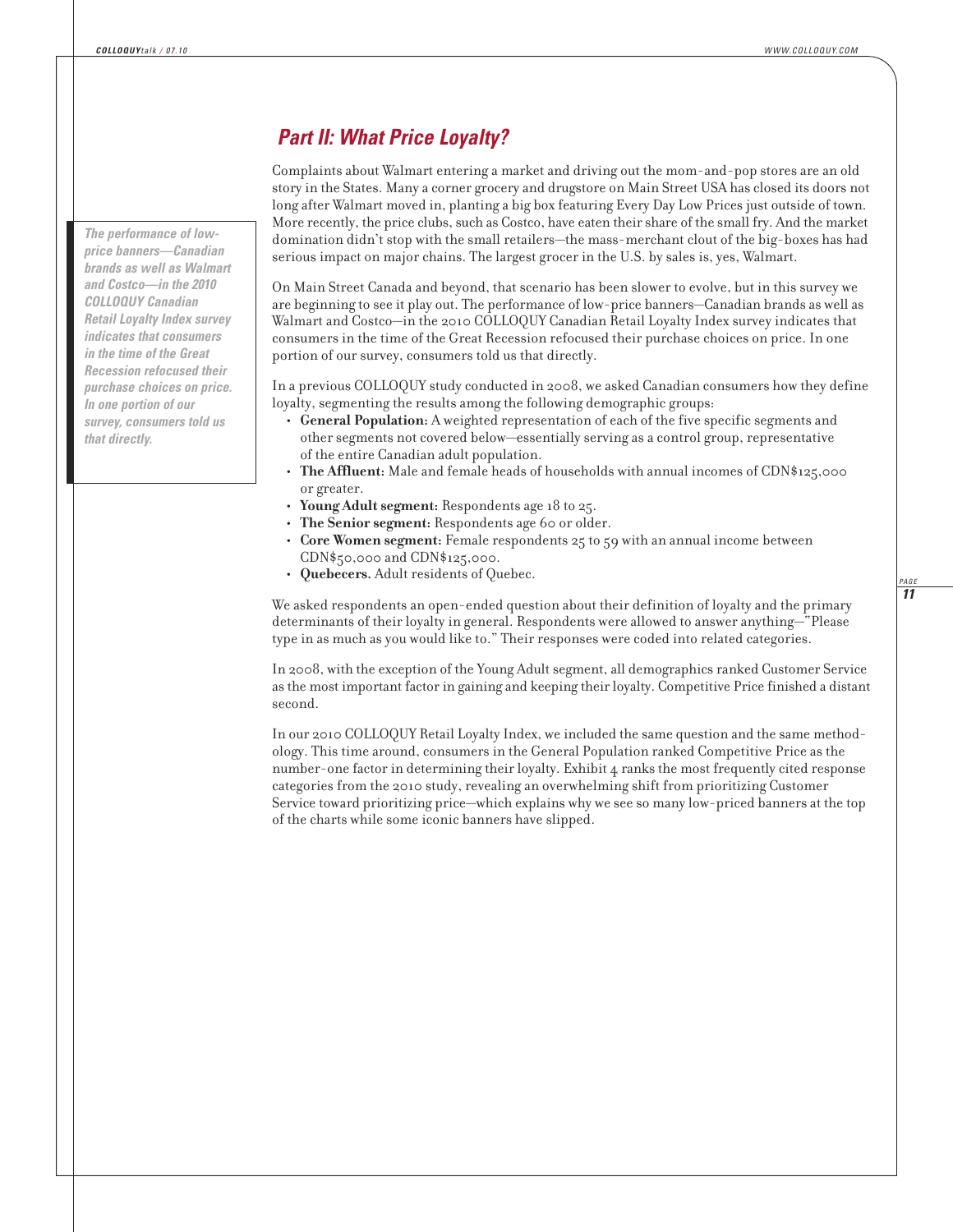## *Part II: What Price Loyalty?*

Complaints about Walmart entering a market and driving out the mom-and-pop stores are an old story in the States. Many a corner grocery and drugstore on Main Street USA has closed its doors not long after Walmart moved in, planting a big box featuring Every Day Low Prices just outside of town. More recently, the price clubs, such as Costco, have eaten their share of the small fry. And the market domination didn't stop with the small retailers—the mass-merchant clout of the big-boxes has had serious impact on major chains. The largest grocer in the U.S. by sales is, yes, Walmart.

On Main Street Canada and beyond, that scenario has been slower to evolve, but in this survey we are beginning to see it play out. The performance of low-price banners—Canadian brands as well as Walmart and Costco—in the 2010 COLLOQUY Canadian Retail Loyalty Index survey indicates that consumers in the time of the Great Recession refocused their purchase choices on price. In one portion of our survey, consumers told us that directly.

In a previous COLLOQUY study conducted in 2008, we asked Canadian consumers how they define loyalty, segmenting the results among the following demographic groups:

- **General Population:** A weighted representation of each of the five specific segments and other segments not covered below—essentially serving as a control group, representative of the entire Canadian adult population.
- **The Affluent:** Male and female heads of households with annual incomes of CDN\$125,000 or greater.
- **Young Adult segment:** Respondents age 18 to 25.
- The Senior segment: Respondents age 60 or older.
- **Core Women segment:** Female respondents 25 to 59 with an annual income between CDN\$50,000 and CDN\$125,000.
- **Quebecers.** Adult residents of Quebec.

We asked respondents an open-ended question about their definition of loyalty and the primary determinants of their loyalty in general. Respondents were allowed to answer anything—"Please type in as much as you would like to." Their responses were coded into related categories.

In 2008, with the exception of the Young Adult segment, all demographics ranked Customer Service as the most important factor in gaining and keeping their loyalty. Competitive Price finished a distant second.

In our 2010 COLLOQUY Retail Loyalty Index, we included the same question and the same method ology. This time around, consumers in the General Population ranked Competitive Price as the number-one factor in determining their loyalty. Exhibit 4 ranks the most frequently cited response categories from the 2010 study, revealing an overwhelming shift from prioritizing Customer Service toward prioritizing price—which explains why we see so many low-priced banners at the top of the charts while some iconic banners have slipped.

*The performance of lowprice banners—Canadian brands as well as Walmart and Costco—in the 2010 COLLOQUY Canadian Retail Loyalty Index survey indicates that consumers in the time of the Great Recession refocused their purchase choices on price. In one portion of our survey, consumers told us that directly.*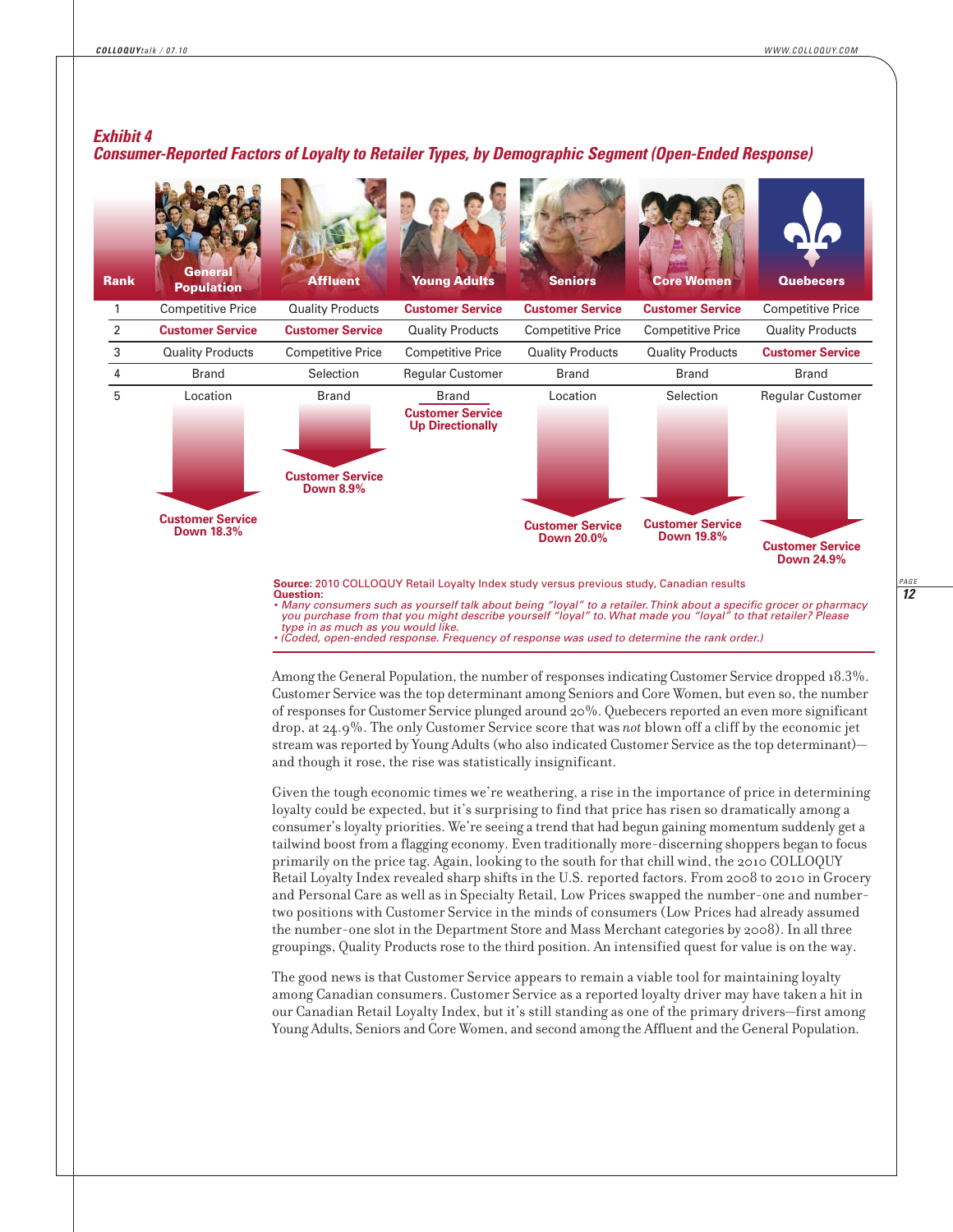*12 PAGE*

### *Exhibit 4*

#### *Consumer-Reported Factors of Loyalty to Retailer Types, by Demographic Segment (Open-Ended Response)*

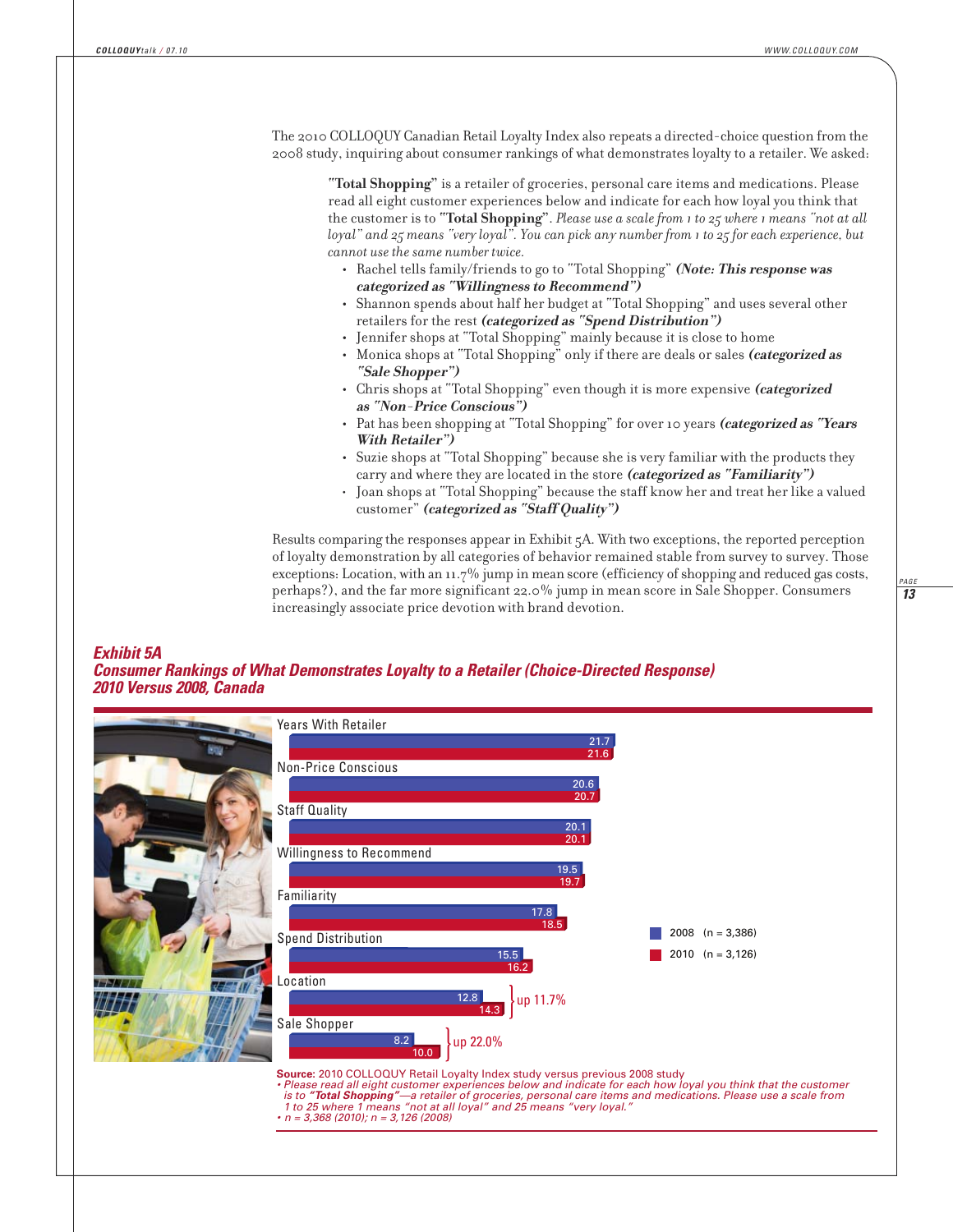The 2010 COLLOQUY Canadian Retail Loyalty Index also repeats a directed-choice question from the 2008 study, inquiring about consumer rankings of what demonstrates loyalty to a retailer. We asked:

**"Total Shopping"** is a retailer of groceries, personal care items and medications. Please read all eight customer experiences below and indicate for each how loyal you think that the customer is to **"Total Shopping"**. *Please use a scale from 1 to 25 where 1 means "not at all loyal" and 25 means "very loyal". You can pick any number from 1 to 25 for each experience, but cannot use the same number twice.*

- **•** Rachel tells family/friends to go to "Total Shopping" **(Note: This response was categorized as "Willingness to Recommend")**
- **•** Shannon spends about half her budget at "Total Shopping" and uses several other retailers for the rest **(categorized as "Spend Distribution")**
- **•** Jennifer shops at "Total Shopping" mainly because it is close to home
- **•** Monica shops at "Total Shopping" only if there are deals or sales **(categorized as "Sale Shopper")**
- **•** Chris shops at "Total Shopping" even though it is more expensive **(categorized as "Non-Price Conscious")**
- **•** Pat has been shopping at "Total Shopping" for over 10 years **(categorized as "Years With Retailer")**
- **•** Suzie shops at "Total Shopping" because she is very familiar with the products they carry and where they are located in the store **(categorized as "Familiarity")**
- Joan shops at "Total Shopping" because the staff know her and treat her like a valued customer" **(categorized as "Staff Quality")**

Results comparing the responses appear in Exhibit 5A. With two exceptions, the reported perception of loyalty demonstration by all categories of behavior remained stable from survey to survey. Those exceptions: Location, with an 11.7% jump in mean score (efficiency of shopping and reduced gas costs, perhaps?), and the far more significant 22.0% jump in mean score in Sale Shopper. Consumers increasingly associate price devotion with brand devotion.

#### *Exhibit 5A*

*Consumer Rankings of What Demonstrates Loyalty to a Retailer (Choice-Directed Response) 2010 Versus 2008, Canada*

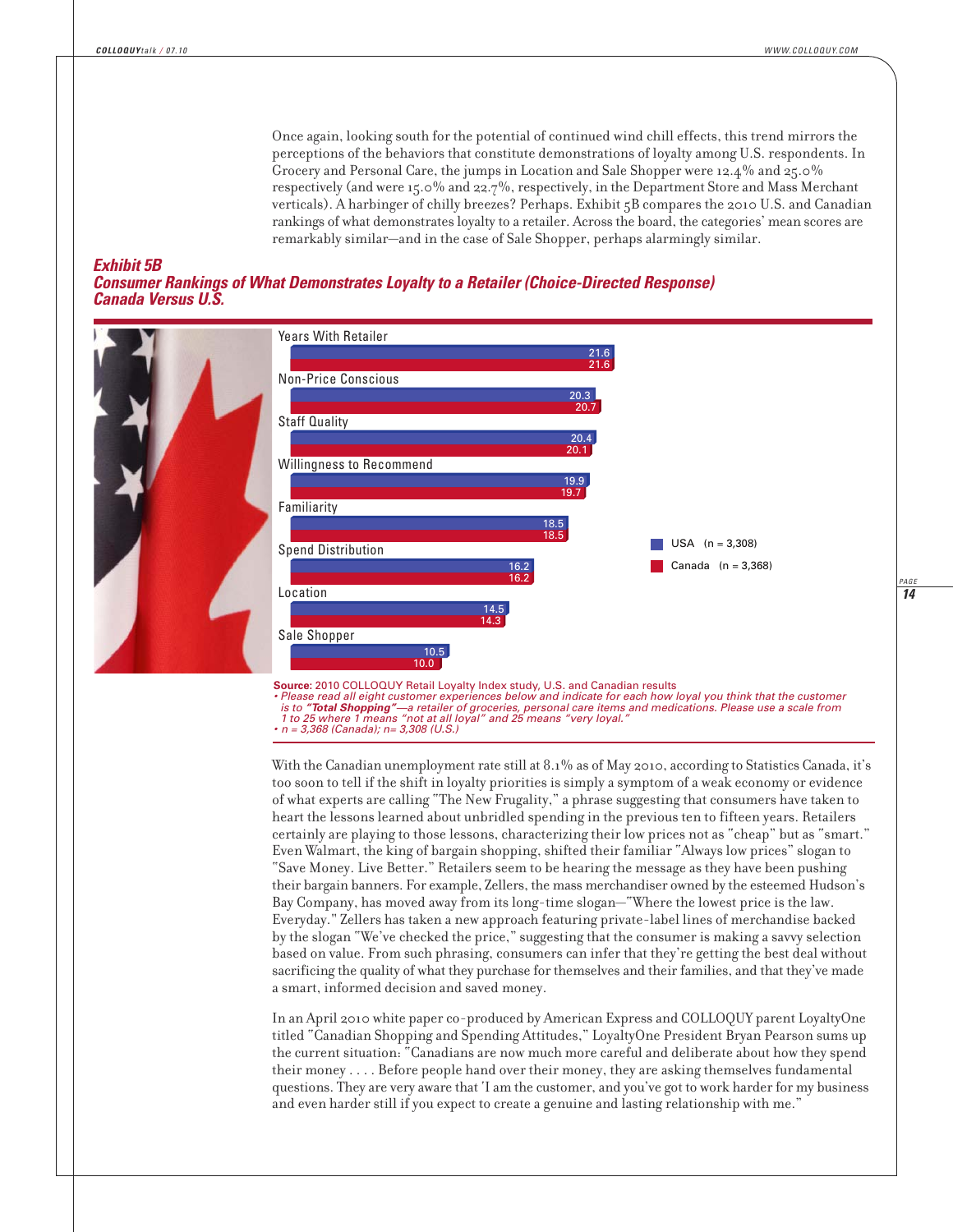*14 PAGE*

Once again, looking south for the potential of continued wind chill effects, this trend mirrors the perceptions of the behaviors that constitute demonstrations of loyalty among U.S. respondents. In Grocery and Personal Care, the jumps in Location and Sale Shopper were 12.4% and 25.0% respectively (and were 15.0% and 22.7%, respectively, in the Department Store and Mass Merchant verticals). A harbinger of chilly breezes? Perhaps. Exhibit 5B compares the 2010 U.S. and Canadian rankings of what demonstrates loyalty to a retailer. Across the board, the categories' mean scores are remarkably similar—and in the case of Sale Shopper, perhaps alarmingly similar.

#### *Exhibit 5B*

*Consumer Rankings of What Demonstrates Loyalty to a Retailer (Choice-Directed Response) Canada Versus U.S.*



**Source:** 2010 COLLOQUY Retail Loyalty Index study, U.S. and Canadian results

*• Please read all eight customer experiences below and indicate for each how loyal you think that the customer is to "Total Shopping"—a retailer of groceries, personal care items and medications. Please use a scale from 1 to 25 where 1 means "not at all loyal" and 25 means "very loyal." • n = 3,368 (Canada); n= 3,308 (U.S.)*

With the Canadian unemployment rate still at 8.1% as of May 2010, according to Statistics Canada, it's too soon to tell if the shift in loyalty priorities is simply a symptom of a weak economy or evidence of what experts are calling "The New Frugality," a phrase suggesting that consumers have taken to heart the lessons learned about unbridled spending in the previous ten to fifteen years. Retailers certainly are playing to those lessons, characterizing their low prices not as "cheap" but as "smart." Even Walmart, the king of bargain shopping, shifted their familiar "Always low prices" slogan to "Save Money. Live Better." Retailers seem to be hearing the message as they have been pushing their bargain banners. For example, Zellers, the mass merchandiser owned by the esteemed Hudson's Bay Company, has moved away from its long-time slogan—"Where the lowest price is the law. Everyday." Zellers has taken a new approach featuring private-label lines of merchandise backed by the slogan "We've checked the price," suggesting that the consumer is making a savvy selection based on value. From such phrasing, consumers can infer that they're getting the best deal without sacrificing the quality of what they purchase for themselves and their families, and that they've made a smart, informed decision and saved money.

In an April 2010 white paper co-produced by American Express and COLLOQUY parent LoyaltyOne titled "Canadian Shopping and Spending Attitudes," LoyaltyOne President Bryan Pearson sums up the current situation: "Canadians are now much more careful and deliberate about how they spend their money . . . . Before people hand over their money, they are asking themselves fundamental questions. They are very aware that 'I am the customer, and you've got to work harder for my business and even harder still if you expect to create a genuine and lasting relationship with me."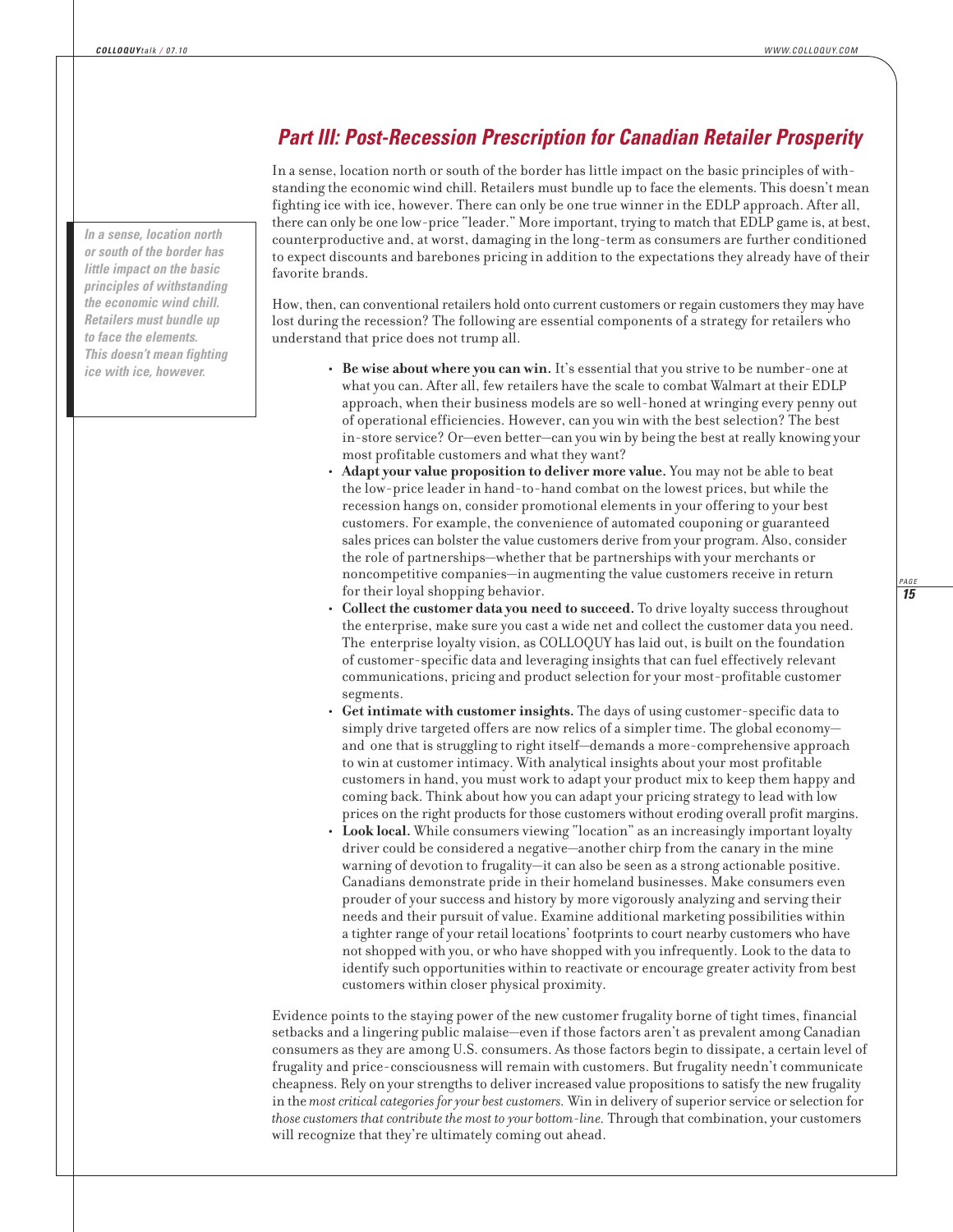#### *In a sense, location north or south of the border has little impact on the basic principles of withstanding the economic wind chill. Retailers must bundle up to face the elements. This doesn't mean fighting ice with ice, however.*

## *Part III: Post-Recession Prescription for Canadian Retailer Prosperity*

In a sense, location north or south of the border has little impact on the basic principles of with standing the economic wind chill. Retailers must bundle up to face the elements. This doesn't mean fighting ice with ice, however. There can only be one true winner in the EDLP approach. After all, there can only be one low-price "leader." More important, trying to match that EDLP game is, at best, coun ter productive and, at worst, damaging in the long-term as consumers are further conditioned to expect discounts and barebones pricing in addition to the expectations they already have of their favorite brands.

How, then, can conventional retailers hold onto current customers or regain customers they may have lost during the recession? The following are essential components of a strategy for retailers who understand that price does not trump all.

- **Be wise about where you can win.** It's essential that you strive to be number-one at what you can. After all, few retailers have the scale to combat Walmart at their EDLP approach, when their business models are so well-honed at wringing every penny out of operational efficiencies. However, can you win with the best selection? The best in-store service? Or—even better—can you win by being the best at really knowing your most profitable customers and what they want?
- **Adapt your value proposition to deliver more value.** You may not be able to beat the low-price leader in hand-to-hand combat on the lowest prices, but while the recession hangs on, consider promotional elements in your offering to your best customers. For example, the convenience of automated couponing or guaranteed sales prices can bolster the value customers derive from your program. Also, consider the role of partnerships—whether that be partnerships with your merchants or noncompetitive companies—in augmenting the value customers receive in return for their loyal shopping behavior.
- **Collect the customer data you need to succeed.** To drive loyalty success throughout the enterprise, make sure you cast a wide net and collect the customer data you need. The enterprise loyalty vision, as COLLOQUY has laid out, is built on the foundation of customer-specific data and leveraging insights that can fuel effectively relevant communications, pricing and product selection for your most-profitable customer segments.
- **Get intimate with customer insights.** The days of using customer-specific data to simply drive targeted offers are now relics of a simpler time. The global economy and one that is struggling to right itself—demands a more-comprehensive approach to win at customer intimacy. With analytical insights about your most profitable customers in hand, you must work to adapt your product mix to keep them happy and coming back. Think about how you can adapt your pricing strategy to lead with low prices on the right products for those customers without eroding overall profit margins.
- **Look local.** While consumers viewing "location" as an increasingly important loyalty driver could be considered a negative—another chirp from the canary in the mine warning of devotion to frugality—it can also be seen as a strong actionable positive. Canadians demonstrate pride in their homeland businesses. Make consumers even prouder of your success and history by more vigorously analyzing and serving their needs and their pursuit of value. Examine additional marketing possibilities within a tighter range of your retail locations' footprints to court nearby customers who have not shopped with you, or who have shopped with you infrequently. Look to the data to identify such opportunities within to reactivate or encourage greater activity from best customers within closer physical proximity.

Evidence points to the staying power of the new customer frugality borne of tight times, financial setbacks and a lingering public malaise—even if those factors aren't as prevalent among Canadian consumers as they are among U.S. consumers. As those factors begin to dissipate, a certain level of frugality and price-consciousness will remain with customers. But frugality needn't communicate cheapness. Rely on your strengths to deliver increased value propositions to satisfy the new frugality in the *most critical categories for your best customers.* Win in delivery of superior service or selection for *those customers that contribute the most to your bottom-line.* Through that combination, your customers will recognize that they're ultimately coming out ahead.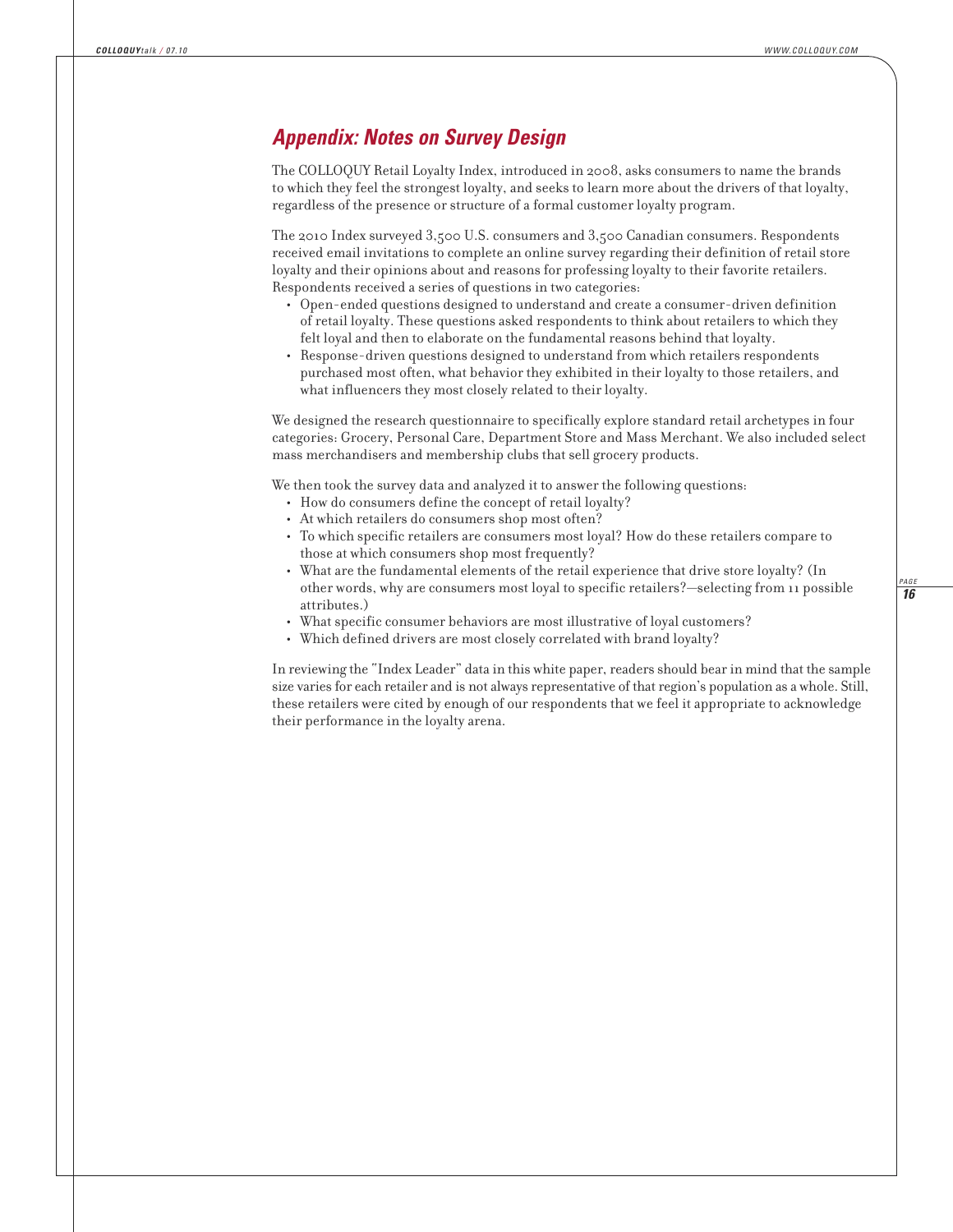## *Appendix: Notes on Survey Design*

The COLLOQUY Retail Loyalty Index, introduced in 2008, asks consumers to name the brands to which they feel the strongest loyalty, and seeks to learn more about the drivers of that loyalty, regardless of the presence or structure of a formal customer loyalty program.

The 2010 Index surveyed 3,500 U.S. consumers and 3,500 Canadian consumers. Respondents received email invitations to complete an online survey regarding their definition of retail store loyalty and their opinions about and reasons for professing loyalty to their favorite retailers. Respondents received a series of questions in two categories:

- **•** Open-ended questions designed to understand and create a consumer-driven definition of retail loyalty. These questions asked respondents to think about retailers to which they felt loyal and then to elaborate on the fundamental reasons behind that loyalty.
- **•** Response-driven questions designed to understand from which retailers respondents purchased most often, what behavior they exhibited in their loyalty to those retailers, and what influencers they most closely related to their loyalty.

We designed the research questionnaire to specifically explore standard retail archetypes in four categories: Grocery, Personal Care, Department Store and Mass Merchant. We also included select mass merchandisers and membership clubs that sell grocery products.

We then took the survey data and analyzed it to answer the following questions:

- **•** How do consumers define the concept of retail loyalty?
- **•** At which retailers do consumers shop most often?
- **•** To which specific retailers are consumers most loyal? How do these retailers compare to those at which consumers shop most frequently?
- **•** What are the fundamental elements of the retail experience that drive store loyalty? (In other words, why are consumers most loyal to specific retailers?—selecting from 11 possible attributes.)
- **•** What specific consumer behaviors are most illustrative of loyal customers?
- **•** Which defined drivers are most closely correlated with brand loyalty?

In reviewing the "Index Leader" data in this white paper, readers should bear in mind that the sample size varies for each retailer and is not always representative of that region's population as a whole. Still, these retailers were cited by enough of our respondents that we feel it appropriate to acknowledge their performance in the loyalty arena.